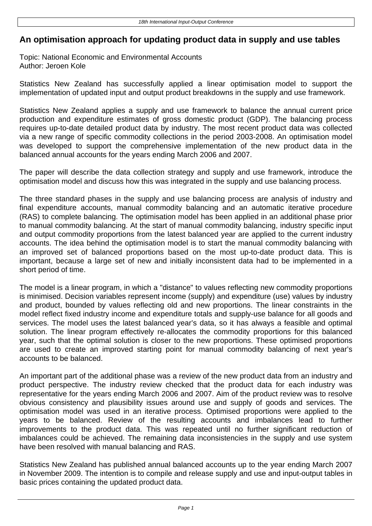## **An optimisation approach for updating product data in supply and use tables**

Topic: National Economic and Environmental Accounts Author: Jeroen Kole

Statistics New Zealand has successfully applied a linear optimisation model to support the implementation of updated input and output product breakdowns in the supply and use framework.

Statistics New Zealand applies a supply and use framework to balance the annual current price production and expenditure estimates of gross domestic product (GDP). The balancing process requires up-to-date detailed product data by industry. The most recent product data was collected via a new range of specific commodity collections in the period 2003-2008. An optimisation model was developed to support the comprehensive implementation of the new product data in the balanced annual accounts for the years ending March 2006 and 2007.

The paper will describe the data collection strategy and supply and use framework, introduce the optimisation model and discuss how this was integrated in the supply and use balancing process.

The three standard phases in the supply and use balancing process are analysis of industry and final expenditure accounts, manual commodity balancing and an automatic iterative procedure (RAS) to complete balancing. The optimisation model has been applied in an additional phase prior to manual commodity balancing. At the start of manual commodity balancing, industry specific input and output commodity proportions from the latest balanced year are applied to the current industry accounts. The idea behind the optimisation model is to start the manual commodity balancing with an improved set of balanced proportions based on the most up-to-date product data. This is important, because a large set of new and initially inconsistent data had to be implemented in a short period of time.

The model is a linear program, in which a "distance" to values reflecting new commodity proportions is minimised. Decision variables represent income (supply) and expenditure (use) values by industry and product, bounded by values reflecting old and new proportions. The linear constraints in the model reflect fixed industry income and expenditure totals and supply-use balance for all goods and services. The model uses the latest balanced year's data, so it has always a feasible and optimal solution. The linear program effectively re-allocates the commodity proportions for this balanced year, such that the optimal solution is closer to the new proportions. These optimised proportions are used to create an improved starting point for manual commodity balancing of next year's accounts to be balanced.

An important part of the additional phase was a review of the new product data from an industry and product perspective. The industry review checked that the product data for each industry was representative for the years ending March 2006 and 2007. Aim of the product review was to resolve obvious consistency and plausibility issues around use and supply of goods and services. The optimisation model was used in an iterative process. Optimised proportions were applied to the years to be balanced. Review of the resulting accounts and imbalances lead to further improvements to the product data. This was repeated until no further significant reduction of imbalances could be achieved. The remaining data inconsistencies in the supply and use system have been resolved with manual balancing and RAS.

Statistics New Zealand has published annual balanced accounts up to the year ending March 2007 in November 2009. The intention is to compile and release supply and use and input-output tables in basic prices containing the updated product data.